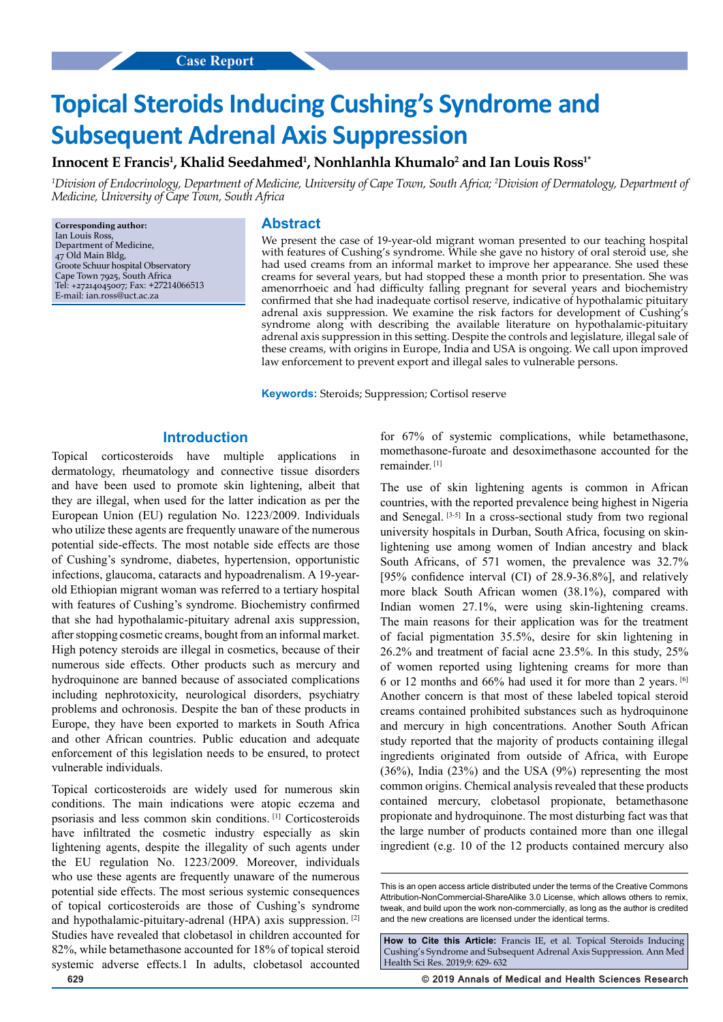# **Topical Steroids Inducing Cushing's Syndrome and Subsequent Adrenal Axis Suppression**

# Innocent E Francis<sup>1</sup>, Khalid Seedahmed<sup>1</sup>, Nonhlanhla Khumalo<sup>2</sup> and Ian Louis Ross<sup>1</sup>\*

*1 Division of Endocrinology, Department of Medicine, University of Cape Town, South Africa; 2 Division of Dermatology, Department of Medicine, University of Cape Town, South Africa*

**Corresponding author:** Ian Louis Ross, Department of Medicine, 47 Old Main Bldg, Groote Schuur hospital Observatory Cape Town 7925, South Africa Tel: +27214045007; Fax: +27214066513 E-mail: ian.ross@uct.ac.za

#### **Abstract**

We present the case of 19-year-old migrant woman presented to our teaching hospital with features of Cushing's syndrome. While she gave no history of oral steroid use, she had used creams from an informal market to improve her appearance. She used these creams for several years, but had stopped these a month prior to presentation. She was amenorrhoeic and had difficulty falling pregnant for several years and biochemistry confirmed that she had inadequate cortisol reserve, indicative of hypothalamic pituitary adrenal axis suppression. We examine the risk factors for development of Cushing's syndrome along with describing the available literature on hypothalamic-pituitary adrenal axis suppression in this setting. Despite the controls and legislature, illegal sale of these creams, with origins in Europe, India and USA is ongoing. We call upon improved law enforcement to prevent export and illegal sales to vulnerable persons.

**Keywords:** Steroids; Suppression; Cortisol reserve

## **Introduction**

Topical corticosteroids have multiple applications dermatology, rheumatology and connective tissue disorders and have been used to promote skin lightening, albeit that they are illegal, when used for the latter indication as per the European Union (EU) regulation No. 1223/2009. Individuals who utilize these agents are frequently unaware of the numerous potential side-effects. The most notable side effects are those of Cushing's syndrome, diabetes, hypertension, opportunistic infections, glaucoma, cataracts and hypoadrenalism. A 19-yearold Ethiopian migrant woman was referred to a tertiary hospital with features of Cushing's syndrome. Biochemistry confirmed that she had hypothalamic-pituitary adrenal axis suppression, after stopping cosmetic creams, bought from an informal market. High potency steroids are illegal in cosmetics, because of their numerous side effects. Other products such as mercury and hydroquinone are banned because of associated complications including nephrotoxicity, neurological disorders, psychiatry problems and ochronosis. Despite the ban of these products in Europe, they have been exported to markets in South Africa and other African countries. Public education and adequate enforcement of this legislation needs to be ensured, to protect vulnerable individuals.

Topical corticosteroids are widely used for numerous skin conditions. The main indications were atopic eczema and psoriasis and less common skin conditions. [1] Corticosteroids have infiltrated the cosmetic industry especially as skin lightening agents, despite the illegality of such agents under the EU regulation No. 1223/2009. Moreover, individuals who use these agents are frequently unaware of the numerous potential side effects. The most serious systemic consequences of topical corticosteroids are those of Cushing's syndrome and hypothalamic-pituitary-adrenal (HPA) axis suppression. [2] Studies have revealed that clobetasol in children accounted for 82%, while betamethasone accounted for 18% of topical steroid systemic adverse effects.1 In adults, clobetasol accounted

for 67% of systemic complications, while betamethasone, momethasone-furoate and desoximethasone accounted for the remainder. [1]

The use of skin lightening agents is common in African countries, with the reported prevalence being highest in Nigeria and Senegal. [3-5] In a cross-sectional study from two regional university hospitals in Durban, South Africa, focusing on skinlightening use among women of Indian ancestry and black South Africans, of 571 women, the prevalence was 32.7% [95% confidence interval (CI) of 28.9-36.8%], and relatively more black South African women (38.1%), compared with Indian women 27.1%, were using skin-lightening creams. The main reasons for their application was for the treatment of facial pigmentation 35.5%, desire for skin lightening in 26.2% and treatment of facial acne 23.5%. In this study, 25% of women reported using lightening creams for more than 6 or 12 months and 66% had used it for more than 2 years. [6] Another concern is that most of these labeled topical steroid creams contained prohibited substances such as hydroquinone and mercury in high concentrations. Another South African study reported that the majority of products containing illegal ingredients originated from outside of Africa, with Europe (36%), India (23%) and the USA (9%) representing the most common origins. Chemical analysis revealed that these products contained mercury, clobetasol propionate, betamethasone propionate and hydroquinone. The most disturbing fact was that the large number of products contained more than one illegal ingredient (e.g. 10 of the 12 products contained mercury also

**629 © 2019 Annals of Medical and Health Sciences Research** 

This is an open access article distributed under the terms of the Creative Commons Attribution‑NonCommercial‑ShareAlike 3.0 License, which allows others to remix, tweak, and build upon the work non‑commercially, as long as the author is credited and the new creations are licensed under the identical terms.

**How to Cite this Article:** Francis IE, et al. Topical Steroids Inducing Cushing's Syndrome and Subsequent Adrenal Axis Suppression. Ann Med Health Sci Res. 2019;9: 629- 632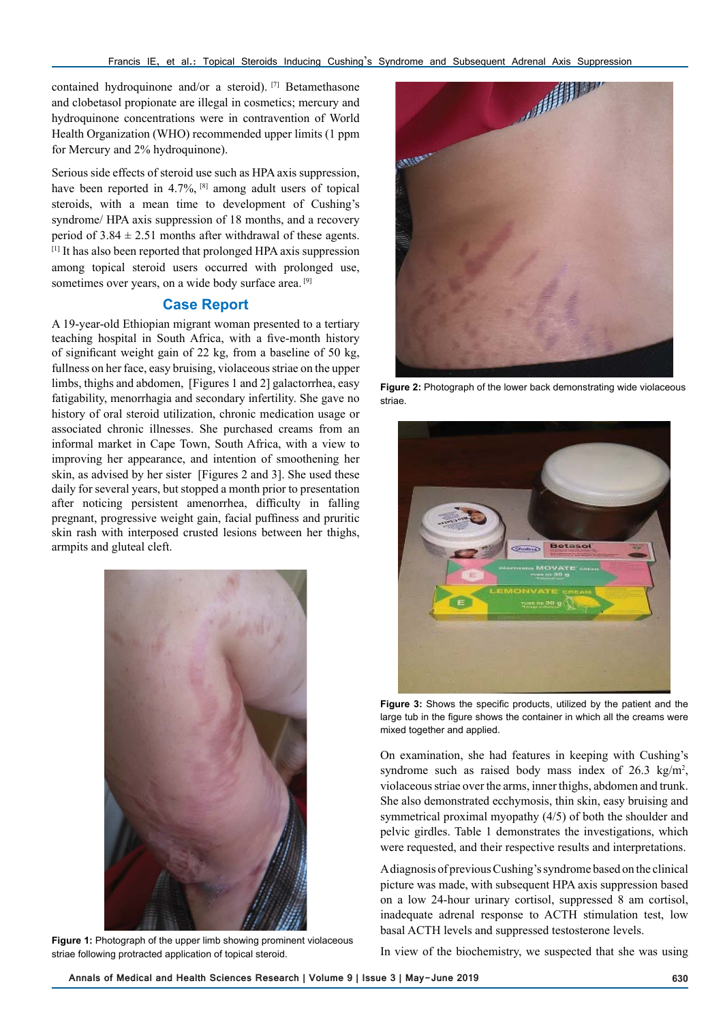contained hydroquinone and/or a steroid). [7] Betamethasone and clobetasol propionate are illegal in cosmetics; mercury and hydroquinone concentrations were in contravention of World Health Organization (WHO) recommended upper limits (1 ppm for Mercury and 2% hydroquinone).

Serious side effects of steroid use such as HPA axis suppression, have been reported in 4.7%, <sup>[8]</sup> among adult users of topical steroids, with a mean time to development of Cushing's syndrome/ HPA axis suppression of 18 months, and a recovery period of  $3.84 \pm 2.51$  months after withdrawal of these agents. [1] It has also been reported that prolonged HPA axis suppression among topical steroid users occurred with prolonged use, sometimes over years, on a wide body surface area.<sup>[9]</sup>

# **Case Report**

A 19-year-old Ethiopian migrant woman presented to a tertiary teaching hospital in South Africa, with a five-month history of significant weight gain of 22 kg, from a baseline of 50 kg, fullness on her face, easy bruising, violaceous striae on the upper limbs, thighs and abdomen, [Figures 1 and 2] galactorrhea, easy fatigability, menorrhagia and secondary infertility. She gave no history of oral steroid utilization, chronic medication usage or associated chronic illnesses. She purchased creams from an informal market in Cape Town, South Africa, with a view to improving her appearance, and intention of smoothening her skin, as advised by her sister [Figures 2 and 3]. She used these daily for several years, but stopped a month prior to presentation after noticing persistent amenorrhea, difficulty in falling pregnant, progressive weight gain, facial puffiness and pruritic skin rash with interposed crusted lesions between her thighs, armpits and gluteal cleft.



**Figure 1:** Photograph of the upper limb showing prominent violaceous striae following protracted application of topical steroid.



**Figure 2:** Photograph of the lower back demonstrating wide violaceous striae.



**Figure 3:** Shows the specific products, utilized by the patient and the large tub in the figure shows the container in which all the creams were mixed together and applied.

On examination, she had features in keeping with Cushing's syndrome such as raised body mass index of  $26.3 \text{ kg/m}^2$ , violaceous striae over the arms, inner thighs, abdomen and trunk. She also demonstrated ecchymosis, thin skin, easy bruising and symmetrical proximal myopathy (4/5) of both the shoulder and pelvic girdles. Table 1 demonstrates the investigations, which were requested, and their respective results and interpretations.

A diagnosis of previous Cushing's syndrome based on the clinical picture was made, with subsequent HPA axis suppression based on a low 24-hour urinary cortisol, suppressed 8 am cortisol, inadequate adrenal response to ACTH stimulation test, low basal ACTH levels and suppressed testosterone levels.

In view of the biochemistry, we suspected that she was using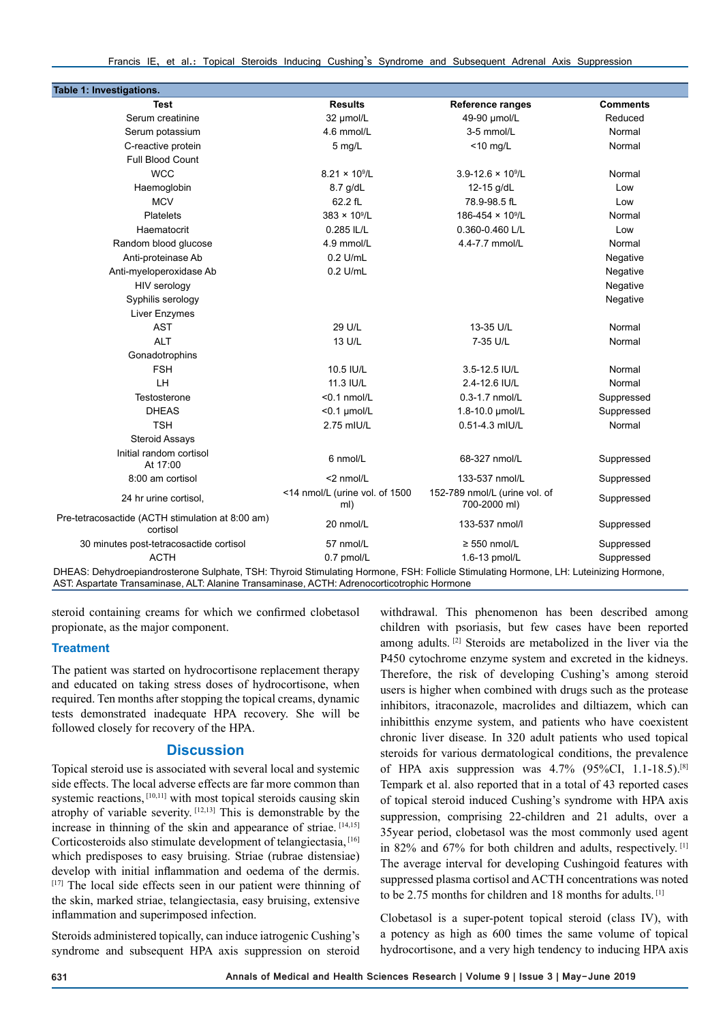Francis IE, et al.: Topical Steroids Inducing Cushing's Syndrome and Subsequent Adrenal Axis Suppression

| Table 1: Investigations.                                                                                                             |                                       |                                               |                 |
|--------------------------------------------------------------------------------------------------------------------------------------|---------------------------------------|-----------------------------------------------|-----------------|
| Test                                                                                                                                 | <b>Results</b>                        | <b>Reference ranges</b>                       | <b>Comments</b> |
| Serum creatinine                                                                                                                     | 32 µmol/L                             | 49-90 µmol/L                                  | Reduced         |
| Serum potassium                                                                                                                      | 4.6 mmol/L                            | 3-5 mmol/L                                    | Normal          |
| C-reactive protein                                                                                                                   | $5$ mg/L                              | $<$ 10 mg/L                                   | Normal          |
| <b>Full Blood Count</b>                                                                                                              |                                       |                                               |                 |
| <b>WCC</b>                                                                                                                           | $8.21 \times 10^9$ /L                 | $3.9 - 12.6 \times 10^9$ /L                   | Normal          |
| Haemoglobin                                                                                                                          | 8.7 g/dL                              | 12-15 g/dL                                    | Low             |
| <b>MCV</b>                                                                                                                           | 62.2 fL                               | 78.9-98.5 fL                                  | Low             |
| Platelets                                                                                                                            | $383 \times 10^{9}$ /L                | 186-454 × 10 <sup>9</sup> /L                  | Normal          |
| Haematocrit                                                                                                                          | 0.285 IL/L                            | 0.360-0.460 L/L                               | Low             |
| Random blood glucose                                                                                                                 | 4.9 mmol/L                            | 4.4-7.7 mmol/L                                | Normal          |
| Anti-proteinase Ab                                                                                                                   | $0.2$ U/mL                            |                                               | Negative        |
| Anti-myeloperoxidase Ab                                                                                                              | $0.2$ U/mL                            |                                               | Negative        |
| HIV serology                                                                                                                         |                                       |                                               | Negative        |
| Syphilis serology                                                                                                                    |                                       |                                               | Negative        |
| Liver Enzymes                                                                                                                        |                                       |                                               |                 |
| <b>AST</b>                                                                                                                           | 29 U/L                                | 13-35 U/L                                     | Normal          |
| <b>ALT</b>                                                                                                                           | 13 U/L                                | 7-35 U/L                                      | Normal          |
| Gonadotrophins                                                                                                                       |                                       |                                               |                 |
| <b>FSH</b>                                                                                                                           | 10.5 IU/L                             | 3.5-12.5 IU/L                                 | Normal          |
| LH                                                                                                                                   | 11.3 IU/L                             | 2.4-12.6 IU/L                                 | Normal          |
| Testosterone                                                                                                                         | $< 0.1$ nmol/L                        | 0.3-1.7 nmol/L                                | Suppressed      |
| <b>DHEAS</b>                                                                                                                         | $<$ 0.1 µmol/L                        | 1.8-10.0 µmol/L                               | Suppressed      |
| <b>TSH</b>                                                                                                                           | 2.75 mIU/L                            | 0.51-4.3 mIU/L                                | Normal          |
| <b>Steroid Assays</b>                                                                                                                |                                       |                                               |                 |
| Initial random cortisol<br>At 17:00                                                                                                  | 6 nmol/L                              | 68-327 nmol/L                                 | Suppressed      |
| 8:00 am cortisol                                                                                                                     | <2 nmol/L                             | 133-537 nmol/L                                | Suppressed      |
| 24 hr urine cortisol,                                                                                                                | <14 nmol/L (urine vol. of 1500<br>ml) | 152-789 nmol/L (urine vol. of<br>700-2000 ml) | Suppressed      |
| Pre-tetracosactide (ACTH stimulation at 8:00 am)<br>cortisol                                                                         | 20 nmol/L                             | 133-537 nmol/l                                | Suppressed      |
| 30 minutes post-tetracosactide cortisol                                                                                              | 57 nmol/L                             | $\geq$ 550 nmol/L                             | Suppressed      |
| <b>ACTH</b>                                                                                                                          | 0.7 pmol/L                            | 1.6-13 pmol/L                                 | Suppressed      |
| DHEAS: Debydroeniandrosterone Sulphate, TSH: Thyroid Stimulating Hormone, ESH: Follicle Stimulating Hormone, LH: Luteinizing Hormone |                                       |                                               |                 |

DHEAS: Dehydroepiandrosterone Sulphate, TSH: Thyroid Stimulating Hormone, FSH: Follicle Stimulating Hormone, LH: Luteinizing Hormone, AST: Aspartate Transaminase, ALT: Alanine Transaminase, ACTH: Adrenocorticotrophic Hormone

steroid containing creams for which we confirmed clobetasol propionate, as the major component.

#### **Treatment**

The patient was started on hydrocortisone replacement therapy and educated on taking stress doses of hydrocortisone, when required. Ten months after stopping the topical creams, dynamic tests demonstrated inadequate HPA recovery. She will be followed closely for recovery of the HPA.

#### **Discussion**

Topical steroid use is associated with several local and systemic side effects. The local adverse effects are far more common than systemic reactions, [10,11] with most topical steroids causing skin atrophy of variable severity. [12,13] This is demonstrable by the increase in thinning of the skin and appearance of striae. [14,15] Corticosteroids also stimulate development of telangiectasia, <a>[16]</a> which predisposes to easy bruising. Striae (rubrae distensiae) develop with initial inflammation and oedema of the dermis.  $[17]$  The local side effects seen in our patient were thinning of the skin, marked striae, telangiectasia, easy bruising, extensive inflammation and superimposed infection.

Steroids administered topically, can induce iatrogenic Cushing's syndrome and subsequent HPA axis suppression on steroid

withdrawal. This phenomenon has been described among children with psoriasis, but few cases have been reported among adults. [2] Steroids are metabolized in the liver via the P450 cytochrome enzyme system and excreted in the kidneys. Therefore, the risk of developing Cushing's among steroid users is higher when combined with drugs such as the protease inhibitors, itraconazole, macrolides and diltiazem, which can inhibitthis enzyme system, and patients who have coexistent chronic liver disease. In 320 adult patients who used topical steroids for various dermatological conditions, the prevalence of HPA axis suppression was  $4.7\%$  (95%CI, 1.1-18.5).<sup>[8]</sup> Tempark et al. also reported that in a total of 43 reported cases of topical steroid induced Cushing's syndrome with HPA axis suppression, comprising 22-children and 21 adults, over a 35year period, clobetasol was the most commonly used agent in 82% and 67% for both children and adults, respectively. [1] The average interval for developing Cushingoid features with suppressed plasma cortisol and ACTH concentrations was noted to be 2.75 months for children and 18 months for adults. [1]

Clobetasol is a super-potent topical steroid (class IV), with a potency as high as 600 times the same volume of topical hydrocortisone, and a very high tendency to inducing HPA axis